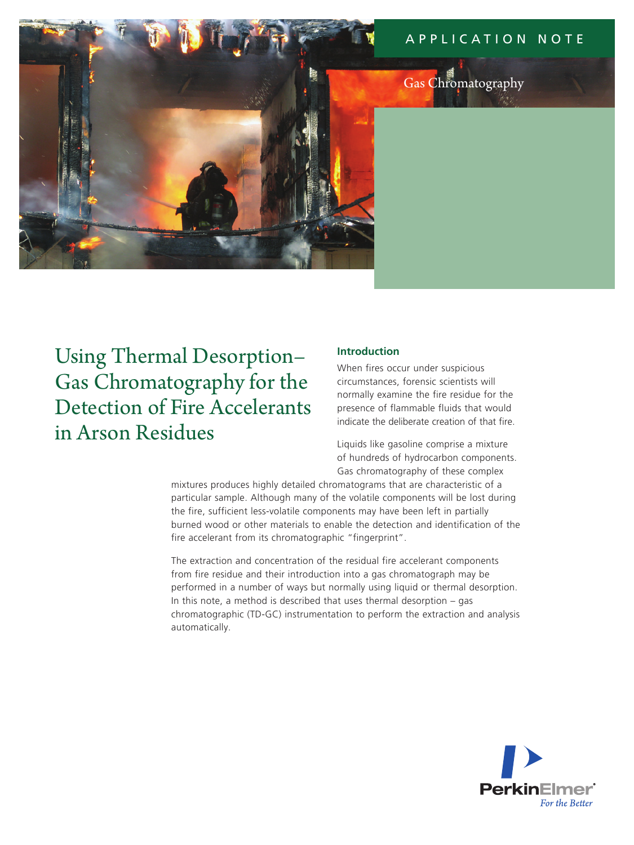# application N ote



# Gas Chromatography

Using Thermal Desorption– Gas Chromatography for the Detection of Fire Accelerants in Arson Residues

### **Introduction**

When fires occur under suspicious circumstances, forensic scientists will normally examine the fire residue for the presence of flammable fluids that would indicate the deliberate creation of that fire.

Liquids like gasoline comprise a mixture of hundreds of hydrocarbon components. Gas chromatography of these complex

mixtures produces highly detailed chromatograms that are characteristic of a particular sample. Although many of the volatile components will be lost during the fire, sufficient less-volatile components may have been left in partially burned wood or other materials to enable the detection and identification of the fire accelerant from its chromatographic "fingerprint".

The extraction and concentration of the residual fire accelerant components from fire residue and their introduction into a gas chromatograph may be performed in a number of ways but normally using liquid or thermal desorption. In this note, a method is described that uses thermal desorption – gas chromatographic (TD-GC) instrumentation to perform the extraction and analysis automatically.

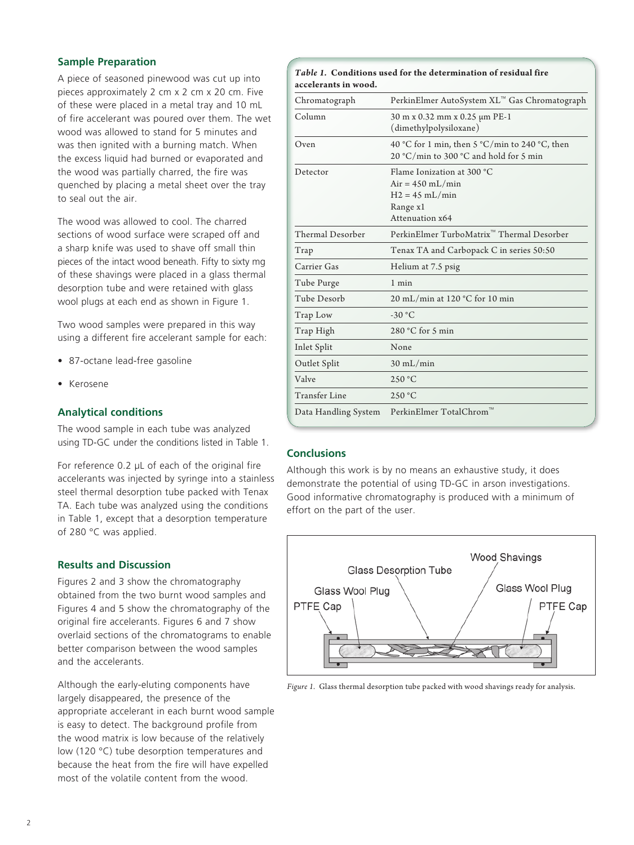# **Sample Preparation**

A piece of seasoned pinewood was cut up into pieces approximately 2 cm x 2 cm x 20 cm. Five of these were placed in a metal tray and 10 mL of fire accelerant was poured over them. The wet wood was allowed to stand for 5 minutes and was then ignited with a burning match. When the excess liquid had burned or evaporated and the wood was partially charred, the fire was quenched by placing a metal sheet over the tray to seal out the air.

The wood was allowed to cool. The charred sections of wood surface were scraped off and a sharp knife was used to shave off small thin pieces of the intact wood beneath. Fifty to sixty mg of these shavings were placed in a glass thermal desorption tube and were retained with glass wool plugs at each end as shown in Figure 1.

Two wood samples were prepared in this way using a different fire accelerant sample for each:

- 87-octane lead-free gasoline
- **Kerosene**

### **Analytical conditions**

The wood sample in each tube was analyzed using TD-GC under the conditions listed in Table 1.

For reference 0.2 μL of each of the original fire accelerants was injected by syringe into a stainless steel thermal desorption tube packed with Tenax TA. Each tube was analyzed using the conditions in Table 1, except that a desorption temperature of 280 °C was applied.

#### **Results and Discussion**

Figures 2 and 3 show the chromatography obtained from the two burnt wood samples and Figures 4 and 5 show the chromatography of the original fire accelerants. Figures 6 and 7 show overlaid sections of the chromatograms to enable better comparison between the wood samples and the accelerants.

Although the early-eluting components have largely disappeared, the presence of the appropriate accelerant in each burnt wood sample is easy to detect. The background profile from the wood matrix is low because of the relatively low (120 °C) tube desorption temperatures and because the heat from the fire will have expelled most of the volatile content from the wood.

| Table 1. Conditions used for the determination of residual fire<br>accelerants in wood. |                                                                                                     |
|-----------------------------------------------------------------------------------------|-----------------------------------------------------------------------------------------------------|
| Chromatograph                                                                           | PerkinElmer AutoSystem XL™ Gas Chromatograph                                                        |
| Column                                                                                  | 30 m x 0.32 mm x 0.25 μm PE-1<br>(dimethylpolysiloxane)                                             |
| Oven                                                                                    | 40 °C for 1 min, then 5 °C/min to 240 °C, then<br>20 °C/min to 300 °C and hold for 5 min            |
| Detector                                                                                | Flame Ionization at 300 °C<br>$Air = 450$ mL/min<br>$H2 = 45$ mL/min<br>Range x1<br>Attenuation x64 |
| <b>Thermal Desorber</b>                                                                 | PerkinElmer TurboMatrix <sup>™</sup> Thermal Desorber                                               |
| Trap                                                                                    | Tenax TA and Carbopack C in series 50:50                                                            |
| Carrier Gas                                                                             | Helium at 7.5 psig                                                                                  |
| Tube Purge                                                                              | $1$ min                                                                                             |
| Tube Desorb                                                                             | 20 mL/min at 120 °C for 10 min                                                                      |
| Trap Low                                                                                | $-30 °C$                                                                                            |
| Trap High                                                                               | $280 °C$ for 5 min                                                                                  |
| Inlet Split                                                                             | None                                                                                                |
| Outlet Split                                                                            | $30 \text{ mL/min}$                                                                                 |
| Valve                                                                                   | 250 °C                                                                                              |
| Transfer Line                                                                           | 250 °C                                                                                              |
| Data Handling System                                                                    | PerkinElmer TotalChrom                                                                              |

# **Conclusions**

Although this work is by no means an exhaustive study, it does demonstrate the potential of using TD-GC in arson investigations. Good informative chromatography is produced with a minimum of effort on the part of the user.



*Figure 1.* Glass thermal desorption tube packed with wood shavings ready for analysis.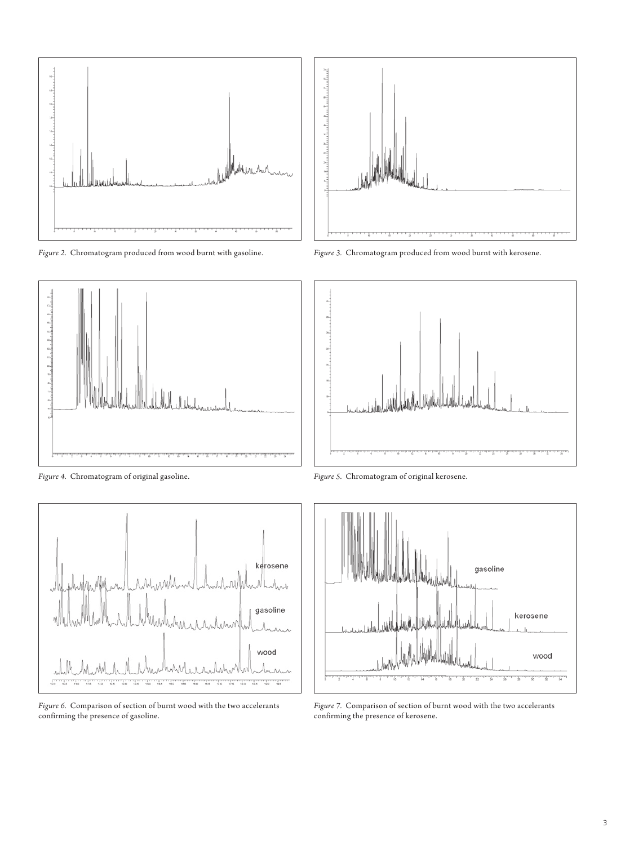

*Figure 2.* Chromatogram produced from wood burnt with gasoline.



*Figure 4.* Chromatogram of original gasoline. *Figure 5.* Chromatogram of original kerosene.



*Figure 6.* Comparison of section of burnt wood with the two accelerants confirming the presence of gasoline.



*Figure 3.* Chromatogram produced from wood burnt with kerosene.





*Figure 7.* Comparison of section of burnt wood with the two accelerants confirming the presence of kerosene.